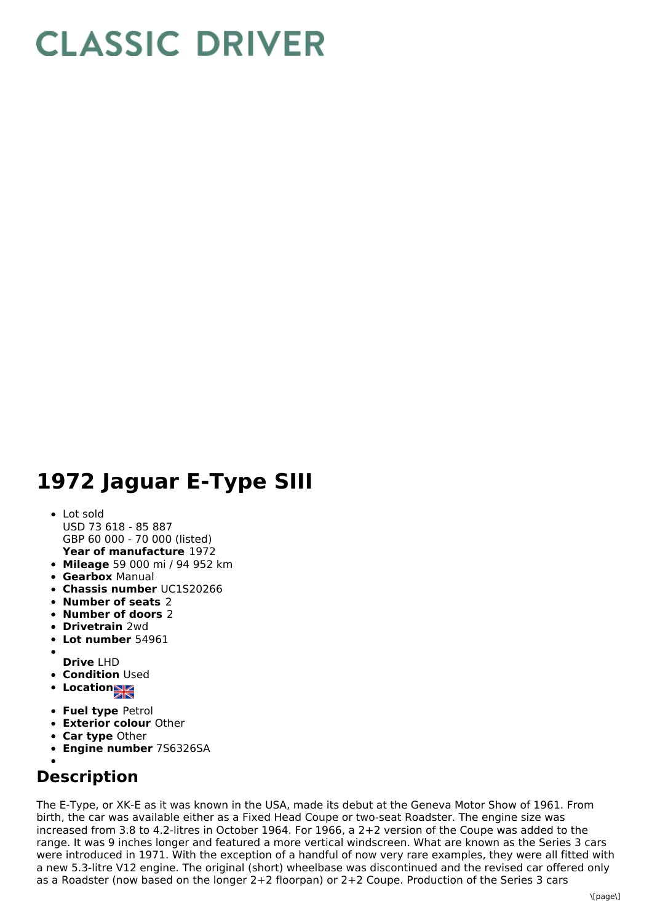# **CLASSIC DRIVER**

## **1972 Jaguar E-Type SIII**

### **Year of manufacture** 1972 Lot sold USD 73 618 - 85 887 GBP 60 000 - 70 000 (listed)

- **Mileage** 59 000 mi / 94 952 km
- **Gearbox** Manual
- **Chassis number** UC1S20266
- **Number of seats** 2
- **Number of doors** 2
- **Drivetrain** 2wd
- **Lot number** 54961
- **Drive** LHD
- **Condition Used**
- **Location**
- 
- **Fuel type** Petrol
- **Exterior colour** Other
- **Car type** Other
- **Engine number** 7S6326SA

## **Description**

The E-Type, or XK-E as it was known in the USA, made its debut at the Geneva Motor Show of 1961. From birth, the car was available either as a Fixed Head Coupe or two-seat Roadster. The engine size was increased from 3.8 to 4.2-litres in October 1964. For 1966, a 2+2 version of the Coupe was added to the range. It was 9 inches longer and featured a more vertical windscreen. What are known as the Series 3 cars were introduced in 1971. With the exception of a handful of now very rare examples, they were all fitted with a new 5.3-litre V12 engine. The original (short) wheelbase was discontinued and the revised car offered only as a Roadster (now based on the longer 2+2 floorpan) or 2+2 Coupe. Production of the Series 3 cars